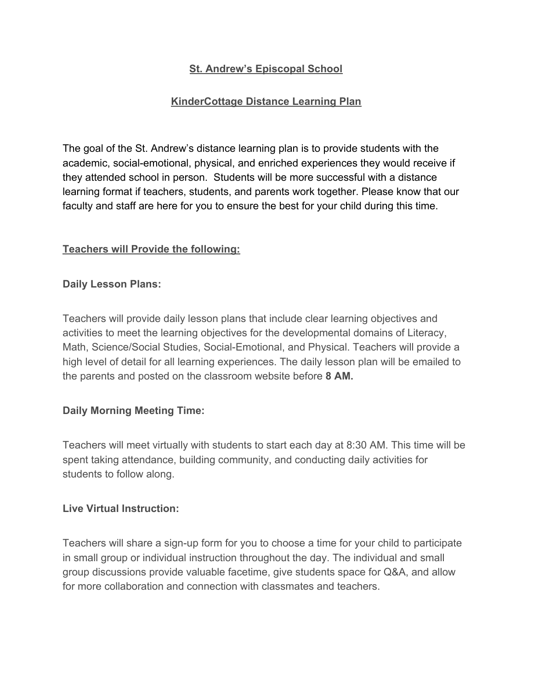# **St. Andrew's Episcopal School**

# **KinderCottage Distance Learning Plan**

The goal of the St. Andrew's distance learning plan is to provide students with the academic, social-emotional, physical, and enriched experiences they would receive if they attended school in person. Students will be more successful with a distance learning format if teachers, students, and parents work together. Please know that our faculty and staff are here for you to ensure the best for your child during this time.

### **Teachers will Provide the following:**

### **Daily Lesson Plans:**

Teachers will provide daily lesson plans that include clear learning objectives and activities to meet the learning objectives for the developmental domains of Literacy, Math, Science/Social Studies, Social-Emotional, and Physical. Teachers will provide a high level of detail for all learning experiences. The daily lesson plan will be emailed to the parents and posted on the classroom website before **8 AM.**

### **Daily Morning Meeting Time:**

Teachers will meet virtually with students to start each day at 8:30 AM. This time will be spent taking attendance, building community, and conducting daily activities for students to follow along.

#### **Live Virtual Instruction:**

Teachers will share a sign-up form for you to choose a time for your child to participate in small group or individual instruction throughout the day. The individual and small group discussions provide valuable facetime, give students space for Q&A, and allow for more collaboration and connection with classmates and teachers.